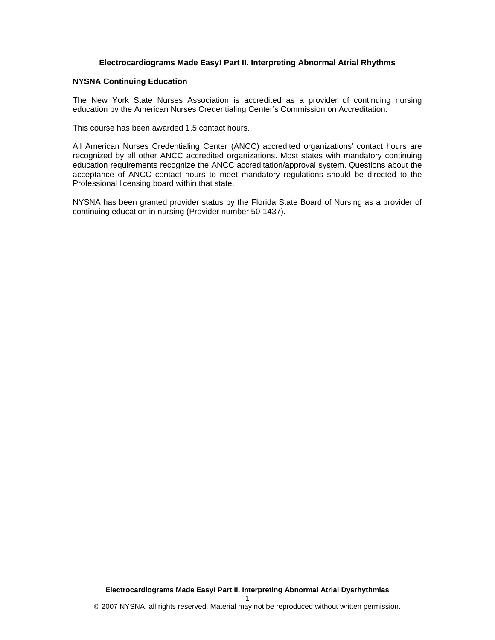## **Electrocardiograms Made Easy! Part II. Interpreting Abnormal Atrial Rhythms**

#### **NYSNA Continuing Education**

The New York State Nurses Association is accredited as a provider of continuing nursing education by the American Nurses Credentialing Center's Commission on Accreditation.

This course has been awarded 1.5 contact hours.

All American Nurses Credentialing Center (ANCC) accredited organizations' contact hours are recognized by all other ANCC accredited organizations. Most states with mandatory continuing education requirements recognize the ANCC accreditation/approval system. Questions about the acceptance of ANCC contact hours to meet mandatory regulations should be directed to the Professional licensing board within that state.

NYSNA has been granted provider status by the Florida State Board of Nursing as a provider of continuing education in nursing (Provider number 50-1437).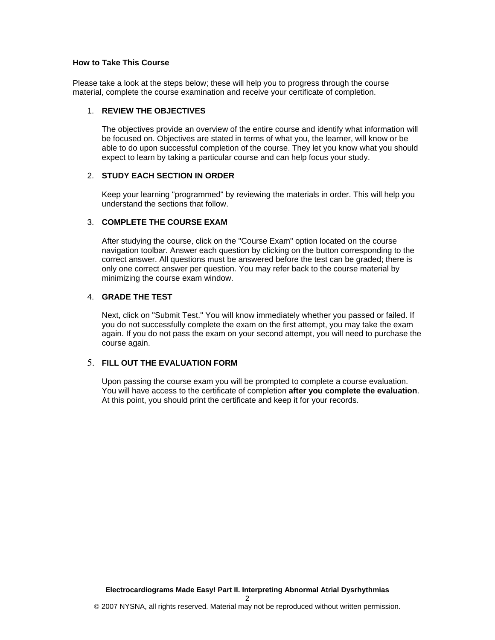## **How to Take This Course**

Please take a look at the steps below; these will help you to progress through the course material, complete the course examination and receive your certificate of completion.

### 1. **REVIEW THE OBJECTIVES**

The objectives provide an overview of the entire course and identify what information will be focused on. Objectives are stated in terms of what you, the learner, will know or be able to do upon successful completion of the course. They let you know what you should expect to learn by taking a particular course and can help focus your study.

## 2. **STUDY EACH SECTION IN ORDER**

Keep your learning "programmed" by reviewing the materials in order. This will help you understand the sections that follow.

## 3. **COMPLETE THE COURSE EXAM**

After studying the course, click on the "Course Exam" option located on the course navigation toolbar. Answer each question by clicking on the button corresponding to the correct answer. All questions must be answered before the test can be graded; there is only one correct answer per question. You may refer back to the course material by minimizing the course exam window.

## 4. **GRADE THE TEST**

Next, click on "Submit Test." You will know immediately whether you passed or failed. If you do not successfully complete the exam on the first attempt, you may take the exam again. If you do not pass the exam on your second attempt, you will need to purchase the course again.

## 5. **FILL OUT THE EVALUATION FORM**

Upon passing the course exam you will be prompted to complete a course evaluation. You will have access to the certificate of completion **after you complete the evaluation**. At this point, you should print the certificate and keep it for your records.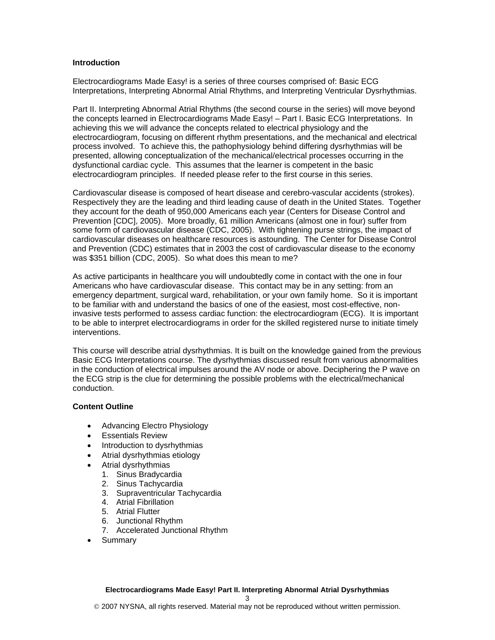### **Introduction**

Electrocardiograms Made Easy! is a series of three courses comprised of: Basic ECG Interpretations, Interpreting Abnormal Atrial Rhythms, and Interpreting Ventricular Dysrhythmias.

Part II. Interpreting Abnormal Atrial Rhythms (the second course in the series) will move beyond the concepts learned in Electrocardiograms Made Easy! – Part I. Basic ECG Interpretations. In achieving this we will advance the concepts related to electrical physiology and the electrocardiogram, focusing on different rhythm presentations, and the mechanical and electrical process involved. To achieve this, the pathophysiology behind differing dysrhythmias will be presented, allowing conceptualization of the mechanical/electrical processes occurring in the dysfunctional cardiac cycle. This assumes that the learner is competent in the basic electrocardiogram principles. If needed please refer to the first course in this series.

Cardiovascular disease is composed of heart disease and cerebro-vascular accidents (strokes). Respectively they are the leading and third leading cause of death in the United States. Together they account for the death of 950,000 Americans each year (Centers for Disease Control and Prevention [CDC], 2005). More broadly, 61 million Americans (almost one in four) suffer from some form of cardiovascular disease (CDC, 2005). With tightening purse strings, the impact of cardiovascular diseases on healthcare resources is astounding. The Center for Disease Control and Prevention (CDC) estimates that in 2003 the cost of cardiovascular disease to the economy was \$351 billion (CDC, 2005). So what does this mean to me?

As active participants in healthcare you will undoubtedly come in contact with the one in four Americans who have cardiovascular disease. This contact may be in any setting: from an emergency department, surgical ward, rehabilitation, or your own family home. So it is important to be familiar with and understand the basics of one of the easiest, most cost-effective, noninvasive tests performed to assess cardiac function: the electrocardiogram (ECG). It is important to be able to interpret electrocardiograms in order for the skilled registered nurse to initiate timely interventions.

This course will describe atrial dysrhythmias. It is built on the knowledge gained from the previous Basic ECG Interpretations course. The dysrhythmias discussed result from various abnormalities in the conduction of electrical impulses around the AV node or above. Deciphering the P wave on the ECG strip is the clue for determining the possible problems with the electrical/mechanical conduction.

### **Content Outline**

- Advancing Electro Physiology
- Essentials Review
- Introduction to dysrhythmias
- Atrial dysrhythmias etiology
- Atrial dysrhythmias
	- 1. Sinus Bradycardia
	- 2. Sinus Tachycardia
	- 3. Supraventricular Tachycardia
	- 4. Atrial Fibrillation
	- 5. Atrial Flutter
	- 6. Junctional Rhythm
	- 7. Accelerated Junctional Rhythm
- Summary

3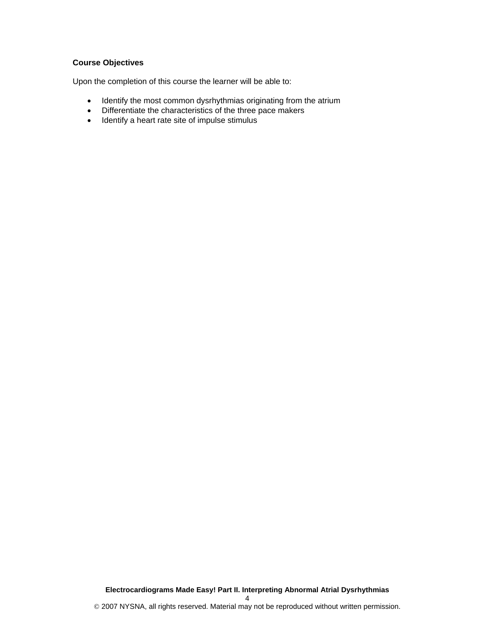# **Course Objectives**

Upon the completion of this course the learner will be able to:

- Identify the most common dysrhythmias originating from the atrium
- Differentiate the characteristics of the three pace makers
- Identify a heart rate site of impulse stimulus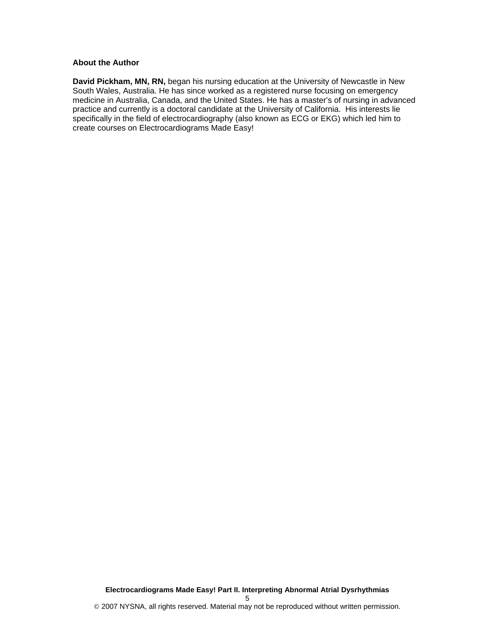### **About the Author**

**David Pickham, MN, RN,** began his nursing education at the University of Newcastle in New South Wales, Australia. He has since worked as a registered nurse focusing on emergency medicine in Australia, Canada, and the United States. He has a master's of nursing in advanced practice and currently is a doctoral candidate at the University of California. His interests lie specifically in the field of electrocardiography (also known as ECG or EKG) which led him to create courses on Electrocardiograms Made Easy!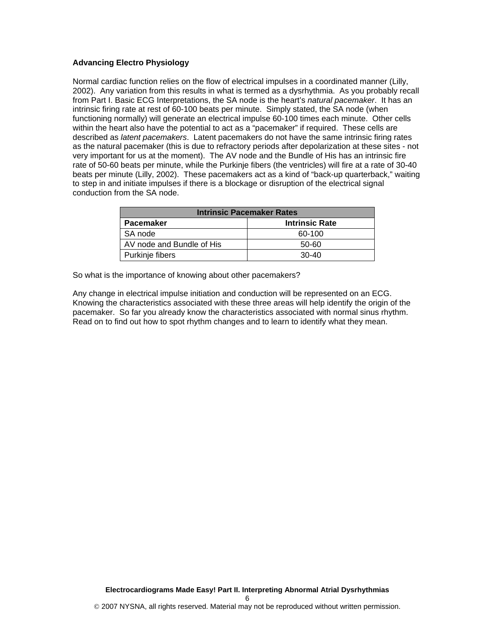## **Advancing Electro Physiology**

Normal cardiac function relies on the flow of electrical impulses in a coordinated manner (Lilly, 2002). Any variation from this results in what is termed as a dysrhythmia. As you probably recall from Part I. Basic ECG Interpretations, the SA node is the heart's *natural pacemaker*. It has an intrinsic firing rate at rest of 60-100 beats per minute. Simply stated, the SA node (when functioning normally) will generate an electrical impulse 60-100 times each minute. Other cells within the heart also have the potential to act as a "pacemaker" if required. These cells are described as *latent pacemakers*. Latent pacemakers do not have the same intrinsic firing rates as the natural pacemaker (this is due to refractory periods after depolarization at these sites - not very important for us at the moment). The AV node and the Bundle of His has an intrinsic fire rate of 50-60 beats per minute, while the Purkinje fibers (the ventricles) will fire at a rate of 30-40 beats per minute (Lilly, 2002). These pacemakers act as a kind of "back-up quarterback," waiting to step in and initiate impulses if there is a blockage or disruption of the electrical signal conduction from the SA node.

| <b>Intrinsic Pacemaker Rates</b> |                       |  |
|----------------------------------|-----------------------|--|
| <b>Pacemaker</b>                 | <b>Intrinsic Rate</b> |  |
| SA node                          | 60-100                |  |
| AV node and Bundle of His        | 50-60                 |  |
| Purkinje fibers                  | $30-40$               |  |

So what is the importance of knowing about other pacemakers?

Any change in electrical impulse initiation and conduction will be represented on an ECG. Knowing the characteristics associated with these three areas will help identify the origin of the pacemaker. So far you already know the characteristics associated with normal sinus rhythm. Read on to find out how to spot rhythm changes and to learn to identify what they mean.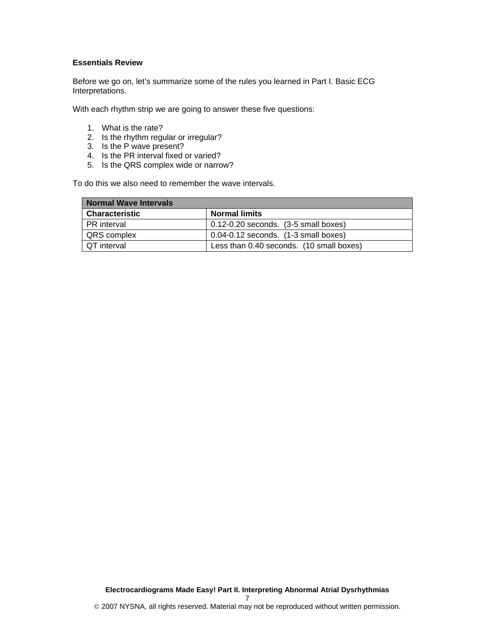### **Essentials Review**

Before we go on, let's summarize some of the rules you learned in Part I. Basic ECG Interpretations.

With each rhythm strip we are going to answer these five questions:

- 1. What is the rate?
- 2. Is the rhythm regular or irregular?
- 3. Is the P wave present?
- 4. Is the PR interval fixed or varied?
- 5. Is the QRS complex wide or narrow?

To do this we also need to remember the wave intervals.

| <b>Normal Wave Intervals</b> |                                               |  |
|------------------------------|-----------------------------------------------|--|
| <b>Characteristic</b>        | <b>Normal limits</b>                          |  |
| <b>PR</b> interval           | $0.12 - 0.20$ seconds. $(3 - 5)$ small boxes) |  |
| <b>QRS</b> complex           | $0.04 - 0.12$ seconds. $(1 - 3)$ small boxes) |  |
| I QT interval                | Less than 0.40 seconds. (10 small boxes)      |  |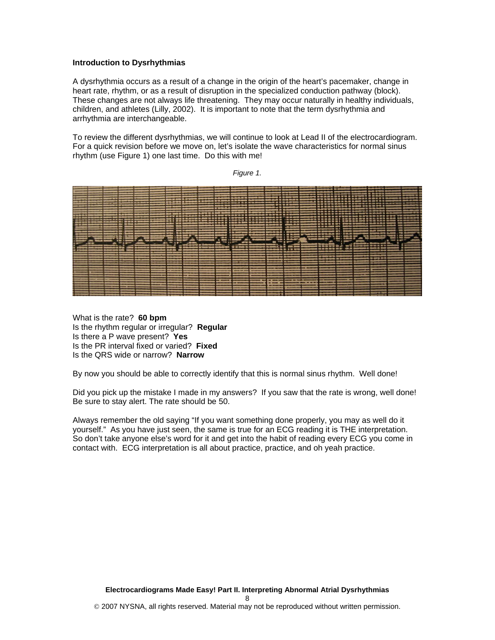### **Introduction to Dysrhythmias**

A dysrhythmia occurs as a result of a change in the origin of the heart's pacemaker, change in heart rate, rhythm, or as a result of disruption in the specialized conduction pathway (block). These changes are not always life threatening. They may occur naturally in healthy individuals, children, and athletes (Lilly, 2002). It is important to note that the term dysrhythmia and arrhythmia are interchangeable.

To review the different dysrhythmias, we will continue to look at Lead II of the electrocardiogram. For a quick revision before we move on, let's isolate the wave characteristics for normal sinus rhythm (use Figure 1) one last time. Do this with me!

*Figure 1.* 



What is the rate? **60 bpm** Is the rhythm regular or irregular? **Regular**  Is there a P wave present? **Yes**  Is the PR interval fixed or varied? **Fixed**  Is the QRS wide or narrow? **Narrow** 

By now you should be able to correctly identify that this is normal sinus rhythm. Well done!

Did you pick up the mistake I made in my answers? If you saw that the rate is wrong, well done! Be sure to stay alert. The rate should be 50.

Always remember the old saying "If you want something done properly, you may as well do it yourself." As you have just seen, the same is true for an ECG reading it is THE interpretation. So don't take anyone else's word for it and get into the habit of reading every ECG you come in contact with. ECG interpretation is all about practice, practice, and oh yeah practice.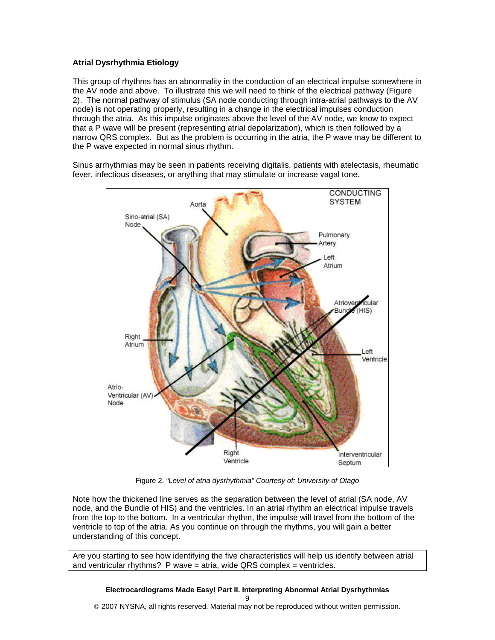# **Atrial Dysrhythmia Etiology**

This group of rhythms has an abnormality in the conduction of an electrical impulse somewhere in the AV node and above. To illustrate this we will need to think of the electrical pathway (Figure 2). The normal pathway of stimulus (SA node conducting through intra-atrial pathways to the AV node) is not operating properly, resulting in a change in the electrical impulses conduction through the atria. As this impulse originates above the level of the AV node, we know to expect that a P wave will be present (representing atrial depolarization), which is then followed by a narrow QRS complex. But as the problem is occurring in the atria, the P wave may be different to the P wave expected in normal sinus rhythm.

Sinus arrhythmias may be seen in patients receiving digitalis, patients with atelectasis, rheumatic fever, infectious diseases, or anything that may stimulate or increase vagal tone.



Figure 2. *"Level of atria dysrhythmia" Courtesy of: University of Otago*

Note how the thickened line serves as the separation between the level of atrial (SA node, AV node, and the Bundle of HIS) and the ventricles. In an atrial rhythm an electrical impulse travels from the top to the bottom. In a ventricular rhythm, the impulse will travel from the bottom of the ventricle to top of the atria. As you continue on through the rhythms, you will gain a better understanding of this concept.

Are you starting to see how identifying the five characteristics will help us identify between atrial and ventricular rhythms? P wave = atria, wide QRS complex = ventricles.

# **Electrocardiograms Made Easy! Part II. Interpreting Abnormal Atrial Dysrhythmias**

9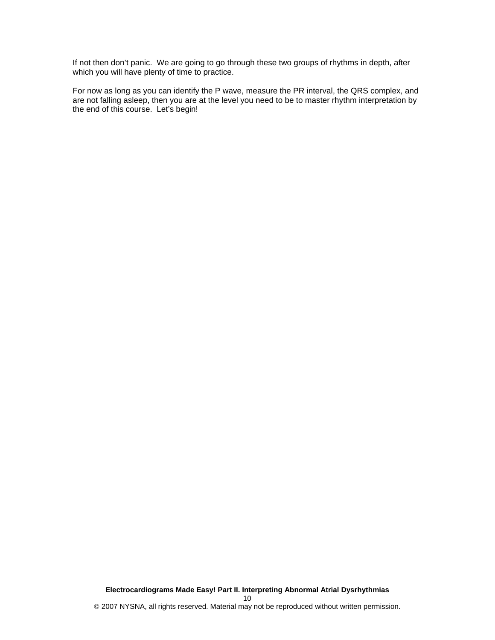If not then don't panic. We are going to go through these two groups of rhythms in depth, after which you will have plenty of time to practice.

For now as long as you can identify the P wave, measure the PR interval, the QRS complex, and are not falling asleep, then you are at the level you need to be to master rhythm interpretation by the end of this course. Let's begin!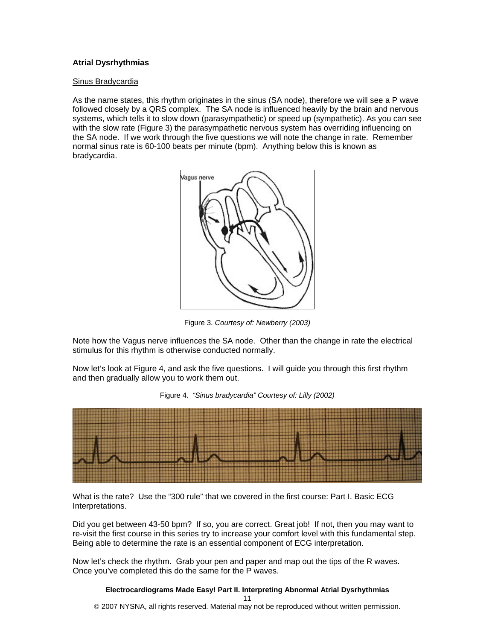## **Atrial Dysrhythmias**

#### Sinus Bradycardia

As the name states, this rhythm originates in the sinus (SA node), therefore we will see a P wave followed closely by a QRS complex. The SA node is influenced heavily by the brain and nervous systems, which tells it to slow down (parasympathetic) or speed up (sympathetic). As you can see with the slow rate (Figure 3) the parasympathetic nervous system has overriding influencing on the SA node. If we work through the five questions we will note the change in rate. Remember normal sinus rate is 60-100 beats per minute (bpm). Anything below this is known as bradycardia.



Figure 3. *Courtesy of: Newberry (2003)*

Note how the Vagus nerve influences the SA node. Other than the change in rate the electrical stimulus for this rhythm is otherwise conducted normally.

Now let's look at Figure 4, and ask the five questions. I will guide you through this first rhythm and then gradually allow you to work them out.





What is the rate? Use the "300 rule" that we covered in the first course: Part I. Basic ECG Interpretations.

Did you get between 43-50 bpm? If so, you are correct. Great job! If not, then you may want to re-visit the first course in this series try to increase your comfort level with this fundamental step. Being able to determine the rate is an essential component of ECG interpretation.

Now let's check the rhythm. Grab your pen and paper and map out the tips of the R waves. Once you've completed this do the same for the P waves.

## **Electrocardiograms Made Easy! Part II. Interpreting Abnormal Atrial Dysrhythmias**

11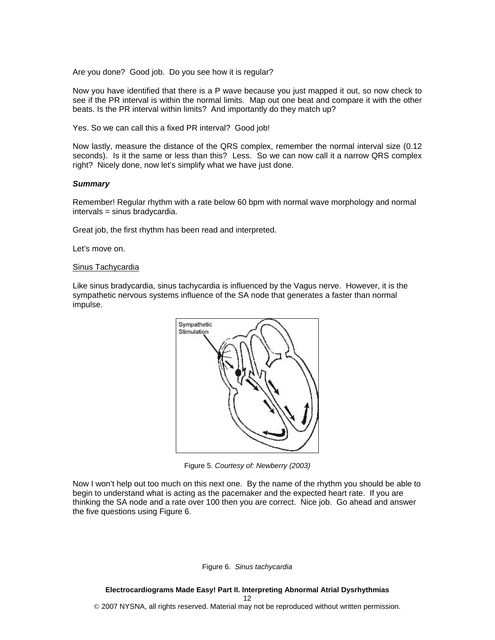Are you done? Good job. Do you see how it is regular?

Now you have identified that there is a P wave because you just mapped it out, so now check to see if the PR interval is within the normal limits. Map out one beat and compare it with the other beats. Is the PR interval within limits? And importantly do they match up?

Yes. So we can call this a fixed PR interval? Good job!

Now lastly, measure the distance of the QRS complex, remember the normal interval size (0.12 seconds). Is it the same or less than this? Less. So we can now call it a narrow QRS complex right? Nicely done, now let's simplify what we have just done.

#### *Summary*

Remember! Regular rhythm with a rate below 60 bpm with normal wave morphology and normal intervals = sinus bradycardia.

Great job, the first rhythm has been read and interpreted.

Let's move on.

#### Sinus Tachycardia

Like sinus bradycardia, sinus tachycardia is influenced by the Vagus nerve. However, it is the sympathetic nervous systems influence of the SA node that generates a faster than normal impulse.



Figure 5. *Courtesy of: Newberry (2003)* 

Now I won't help out too much on this next one. By the name of the rhythm you should be able to begin to understand what is acting as the pacemaker and the expected heart rate. If you are thinking the SA node and a rate over 100 then you are correct. Nice job. Go ahead and answer the five questions using Figure 6.

Figure 6. *Sinus tachycardia*

**Electrocardiograms Made Easy! Part II. Interpreting Abnormal Atrial Dysrhythmias**  12 © 2007 NYSNA, all rights reserved. Material may not be reproduced without written permission.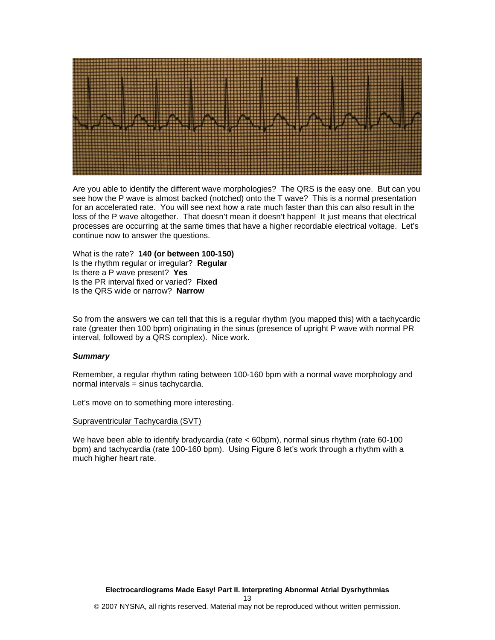

Are you able to identify the different wave morphologies? The QRS is the easy one. But can you see how the P wave is almost backed (notched) onto the T wave? This is a normal presentation for an accelerated rate. You will see next how a rate much faster than this can also result in the loss of the P wave altogether. That doesn't mean it doesn't happen! It just means that electrical processes are occurring at the same times that have a higher recordable electrical voltage. Let's continue now to answer the questions.

What is the rate? **140 (or between 100-150)** Is the rhythm regular or irregular? **Regular**  Is there a P wave present? **Yes**  Is the PR interval fixed or varied? **Fixed**  Is the QRS wide or narrow? **Narrow** 

So from the answers we can tell that this is a regular rhythm (you mapped this) with a tachycardic rate (greater then 100 bpm) originating in the sinus (presence of upright P wave with normal PR interval, followed by a QRS complex). Nice work.

### *Summary*

Remember, a regular rhythm rating between 100-160 bpm with a normal wave morphology and normal intervals = sinus tachycardia.

Let's move on to something more interesting.

#### Supraventricular Tachycardia (SVT)

We have been able to identify bradycardia (rate < 60bpm), normal sinus rhythm (rate 60-100 bpm) and tachycardia (rate 100-160 bpm). Using Figure 8 let's work through a rhythm with a much higher heart rate.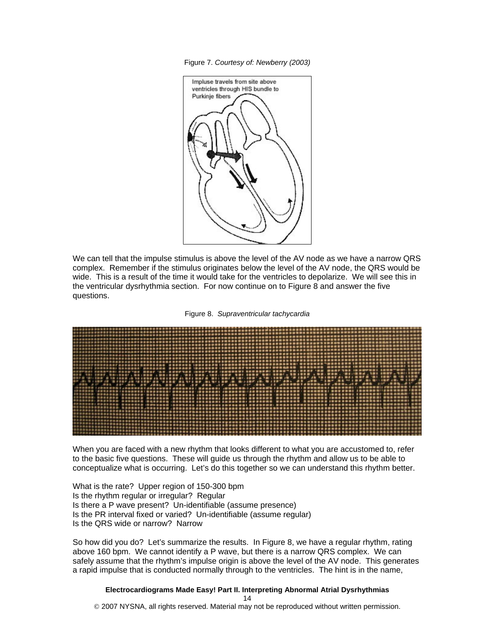Figure 7. *Courtesy of: Newberry (2003)*



We can tell that the impulse stimulus is above the level of the AV node as we have a narrow QRS complex. Remember if the stimulus originates below the level of the AV node, the QRS would be wide. This is a result of the time it would take for the ventricles to depolarize. We will see this in the ventricular dysrhythmia section. For now continue on to Figure 8 and answer the five questions.





When you are faced with a new rhythm that looks different to what you are accustomed to, refer to the basic five questions. These will guide us through the rhythm and allow us to be able to conceptualize what is occurring. Let's do this together so we can understand this rhythm better.

What is the rate? Upper region of 150-300 bpm Is the rhythm regular or irregular? Regular Is there a P wave present? Un-identifiable (assume presence) Is the PR interval fixed or varied? Un-identifiable (assume regular) Is the QRS wide or narrow? Narrow

So how did you do? Let's summarize the results. In Figure 8, we have a regular rhythm, rating above 160 bpm. We cannot identify a P wave, but there is a narrow QRS complex. We can safely assume that the rhythm's impulse origin is above the level of the AV node. This generates a rapid impulse that is conducted normally through to the ventricles. The hint is in the name,

## **Electrocardiograms Made Easy! Part II. Interpreting Abnormal Atrial Dysrhythmias**

14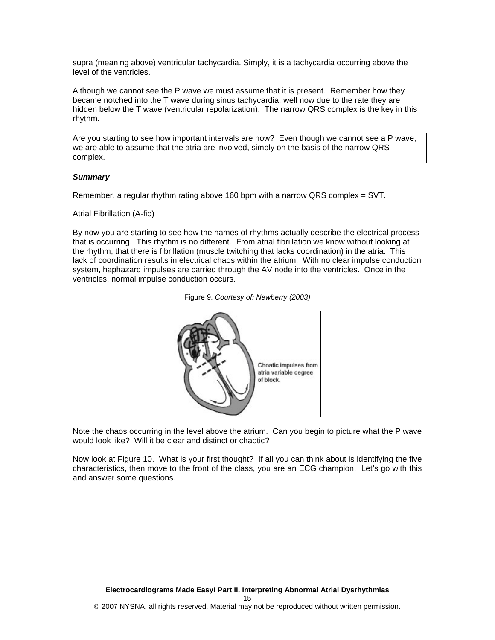supra (meaning above) ventricular tachycardia. Simply, it is a tachycardia occurring above the level of the ventricles.

Although we cannot see the P wave we must assume that it is present. Remember how they became notched into the T wave during sinus tachycardia, well now due to the rate they are hidden below the T wave (ventricular repolarization). The narrow QRS complex is the key in this rhythm.

Are you starting to see how important intervals are now? Even though we cannot see a P wave, we are able to assume that the atria are involved, simply on the basis of the narrow QRS complex.

#### *Summary*

Remember, a regular rhythm rating above 160 bpm with a narrow QRS complex = SVT.

#### Atrial Fibrillation (A-fib)

By now you are starting to see how the names of rhythms actually describe the electrical process that is occurring. This rhythm is no different. From atrial fibrillation we know without looking at the rhythm, that there is fibrillation (muscle twitching that lacks coordination) in the atria. This lack of coordination results in electrical chaos within the atrium. With no clear impulse conduction system, haphazard impulses are carried through the AV node into the ventricles. Once in the ventricles, normal impulse conduction occurs.

|  | Figure 9. Courtesy of: Newberry (2003) |  |  |
|--|----------------------------------------|--|--|
|--|----------------------------------------|--|--|



Note the chaos occurring in the level above the atrium. Can you begin to picture what the P wave would look like? Will it be clear and distinct or chaotic?

Now look at Figure 10. What is your first thought? If all you can think about is identifying the five characteristics, then move to the front of the class, you are an ECG champion. Let's go with this and answer some questions.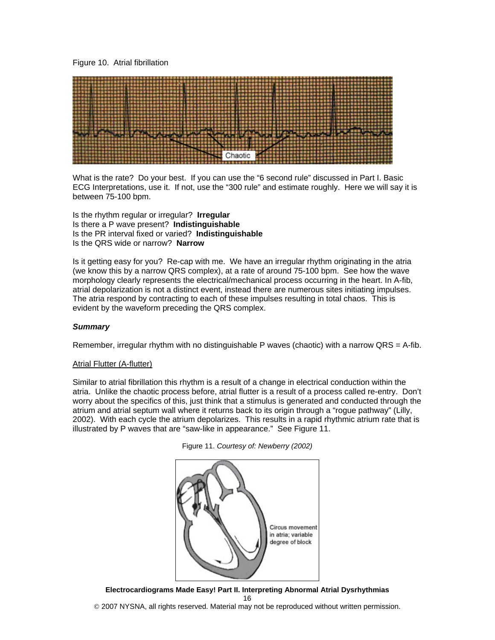## Figure 10. Atrial fibrillation



What is the rate? Do your best. If you can use the "6 second rule" discussed in Part I. Basic ECG Interpretations, use it. If not, use the "300 rule" and estimate roughly. Here we will say it is between 75-100 bpm.

Is the rhythm regular or irregular? **Irregular**  Is there a P wave present? **Indistinguishable**  Is the PR interval fixed or varied? **Indistinguishable**  Is the QRS wide or narrow? **Narrow** 

Is it getting easy for you? Re-cap with me. We have an irregular rhythm originating in the atria (we know this by a narrow QRS complex), at a rate of around 75-100 bpm. See how the wave morphology clearly represents the electrical/mechanical process occurring in the heart. In A-fib, atrial depolarization is not a distinct event, instead there are numerous sites initiating impulses. The atria respond by contracting to each of these impulses resulting in total chaos. This is evident by the waveform preceding the QRS complex.

### *Summary*

Remember, irregular rhythm with no distinguishable P waves (chaotic) with a narrow  $QRS = A$ -fib.

### Atrial Flutter (A-flutter)

Similar to atrial fibrillation this rhythm is a result of a change in electrical conduction within the atria. Unlike the chaotic process before, atrial flutter is a result of a process called re-entry. Don't worry about the specifics of this, just think that a stimulus is generated and conducted through the atrium and atrial septum wall where it returns back to its origin through a "rogue pathway" (Lilly, 2002). With each cycle the atrium depolarizes. This results in a rapid rhythmic atrium rate that is illustrated by P waves that are "saw-like in appearance." See Figure 11.



Figure 11. *Courtesy of: Newberry (2002)*

**Electrocardiograms Made Easy! Part II. Interpreting Abnormal Atrial Dysrhythmias**  16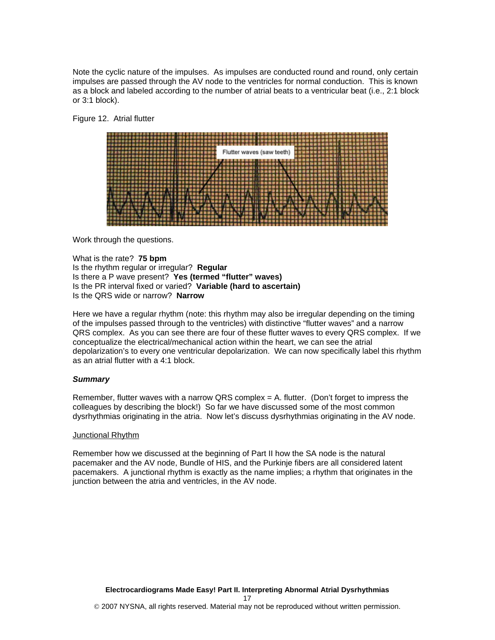Note the cyclic nature of the impulses. As impulses are conducted round and round, only certain impulses are passed through the AV node to the ventricles for normal conduction. This is known as a block and labeled according to the number of atrial beats to a ventricular beat (i.e., 2:1 block or 3:1 block).

#### Figure 12. Atrial flutter



Work through the questions.

What is the rate? **75 bpm** Is the rhythm regular or irregular? **Regular**  Is there a P wave present? **Yes (termed "flutter" waves)**  Is the PR interval fixed or varied? **Variable (hard to ascertain)**  Is the QRS wide or narrow? **Narrow** 

Here we have a regular rhythm (note: this rhythm may also be irregular depending on the timing of the impulses passed through to the ventricles) with distinctive "flutter waves" and a narrow QRS complex. As you can see there are four of these flutter waves to every QRS complex. If we conceptualize the electrical/mechanical action within the heart, we can see the atrial depolarization's to every one ventricular depolarization. We can now specifically label this rhythm as an atrial flutter with a 4:1 block.

### *Summary*

Remember, flutter waves with a narrow QRS complex = A. flutter. (Don't forget to impress the colleagues by describing the block!) So far we have discussed some of the most common dysrhythmias originating in the atria. Now let's discuss dysrhythmias originating in the AV node.

#### Junctional Rhythm

Remember how we discussed at the beginning of Part II how the SA node is the natural pacemaker and the AV node, Bundle of HIS, and the Purkinje fibers are all considered latent pacemakers. A junctional rhythm is exactly as the name implies; a rhythm that originates in the junction between the atria and ventricles, in the AV node.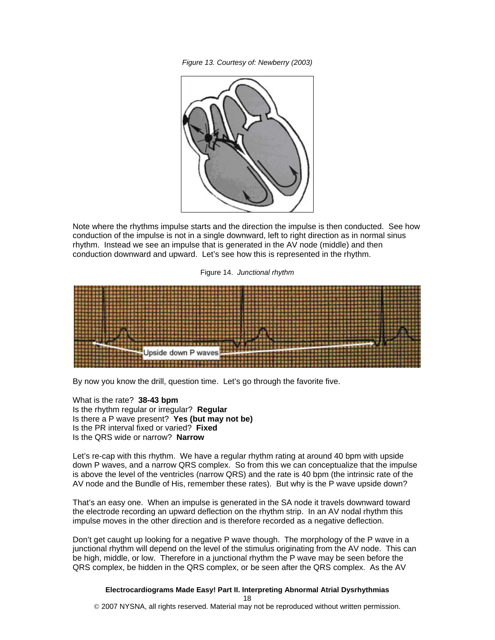*Figure 13. Courtesy of: Newberry (2003)* 



Note where the rhythms impulse starts and the direction the impulse is then conducted. See how conduction of the impulse is not in a single downward, left to right direction as in normal sinus rhythm. Instead we see an impulse that is generated in the AV node (middle) and then conduction downward and upward. Let's see how this is represented in the rhythm.

Figure 14. *Junctional rhythm* 



By now you know the drill, question time. Let's go through the favorite five.

What is the rate? **38-43 bpm** Is the rhythm regular or irregular? **Regular**  Is there a P wave present? **Yes (but may not be)**  Is the PR interval fixed or varied? **Fixed** Is the QRS wide or narrow? **Narrow** 

Let's re-cap with this rhythm. We have a regular rhythm rating at around 40 bpm with upside down P waves, and a narrow QRS complex. So from this we can conceptualize that the impulse is above the level of the ventricles (narrow QRS) and the rate is 40 bpm (the intrinsic rate of the AV node and the Bundle of His, remember these rates). But why is the P wave upside down?

That's an easy one. When an impulse is generated in the SA node it travels downward toward the electrode recording an upward deflection on the rhythm strip. In an AV nodal rhythm this impulse moves in the other direction and is therefore recorded as a negative deflection.

Don't get caught up looking for a negative P wave though. The morphology of the P wave in a junctional rhythm will depend on the level of the stimulus originating from the AV node. This can be high, middle, or low. Therefore in a junctional rhythm the P wave may be seen before the QRS complex, be hidden in the QRS complex, or be seen after the QRS complex. As the AV

# **Electrocardiograms Made Easy! Part II. Interpreting Abnormal Atrial Dysrhythmias**

18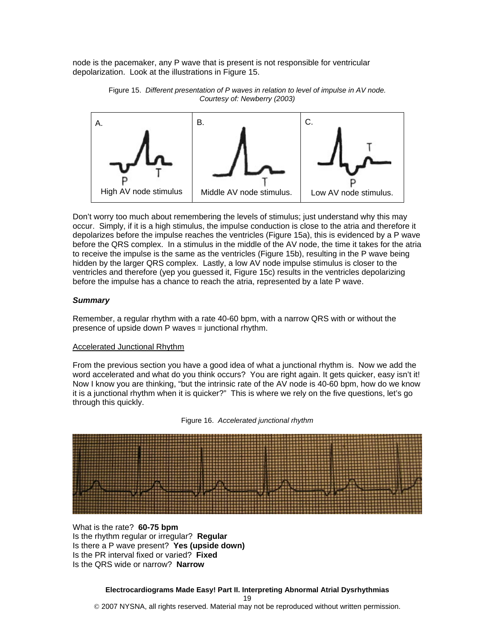node is the pacemaker, any P wave that is present is not responsible for ventricular depolarization. Look at the illustrations in Figure 15.





Don't worry too much about remembering the levels of stimulus; just understand why this may occur. Simply, if it is a high stimulus, the impulse conduction is close to the atria and therefore it depolarizes before the impulse reaches the ventricles (Figure 15a), this is evidenced by a P wave before the QRS complex. In a stimulus in the middle of the AV node, the time it takes for the atria to receive the impulse is the same as the ventricles (Figure 15b), resulting in the P wave being hidden by the larger QRS complex. Lastly, a low AV node impulse stimulus is closer to the ventricles and therefore (yep you guessed it, Figure 15c) results in the ventricles depolarizing before the impulse has a chance to reach the atria, represented by a late P wave.

## *Summary*

Remember, a regular rhythm with a rate 40-60 bpm, with a narrow QRS with or without the presence of upside down P waves = junctional rhythm.

### Accelerated Junctional Rhythm

From the previous section you have a good idea of what a junctional rhythm is. Now we add the word accelerated and what do you think occurs? You are right again. It gets quicker, easy isn't it! Now I know you are thinking, "but the intrinsic rate of the AV node is 40-60 bpm, how do we know it is a junctional rhythm when it is quicker?" This is where we rely on the five questions, let's go through this quickly.





What is the rate? **60-75 bpm** Is the rhythm regular or irregular? **Regular**  Is there a P wave present? **Yes (upside down)**  Is the PR interval fixed or varied? **Fixed**  Is the QRS wide or narrow? **Narrow**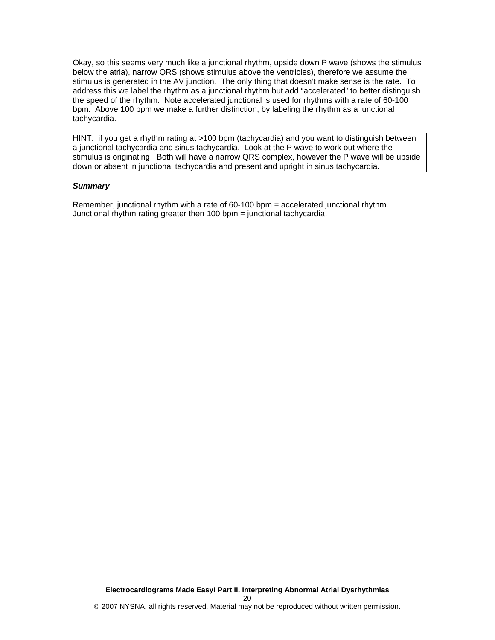Okay, so this seems very much like a junctional rhythm, upside down P wave (shows the stimulus below the atria), narrow QRS (shows stimulus above the ventricles), therefore we assume the stimulus is generated in the AV junction. The only thing that doesn't make sense is the rate. To address this we label the rhythm as a junctional rhythm but add "accelerated" to better distinguish the speed of the rhythm. Note accelerated junctional is used for rhythms with a rate of 60-100 bpm. Above 100 bpm we make a further distinction, by labeling the rhythm as a junctional tachycardia.

HINT: if you get a rhythm rating at >100 bpm (tachycardia) and you want to distinguish between a junctional tachycardia and sinus tachycardia. Look at the P wave to work out where the stimulus is originating. Both will have a narrow QRS complex, however the P wave will be upside down or absent in junctional tachycardia and present and upright in sinus tachycardia.

## *Summary*

Remember, junctional rhythm with a rate of 60-100 bpm = accelerated junctional rhythm. Junctional rhythm rating greater then 100 bpm = junctional tachycardia.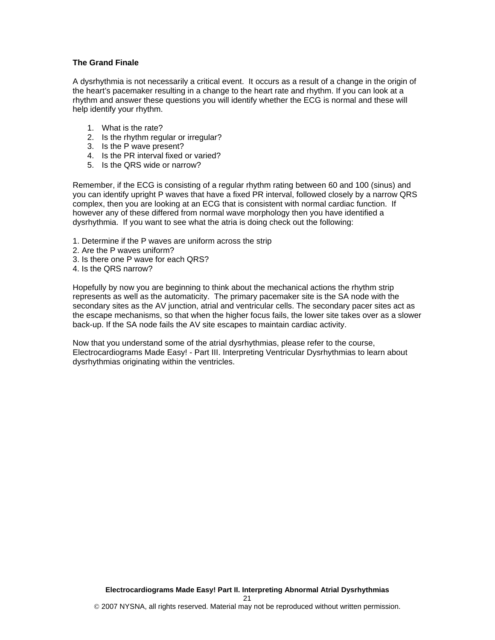## **The Grand Finale**

A dysrhythmia is not necessarily a critical event. It occurs as a result of a change in the origin of the heart's pacemaker resulting in a change to the heart rate and rhythm. If you can look at a rhythm and answer these questions you will identify whether the ECG is normal and these will help identify your rhythm.

- 1. What is the rate?
- 2. Is the rhythm regular or irregular?
- 3. Is the P wave present?
- 4. Is the PR interval fixed or varied?
- 5. Is the QRS wide or narrow?

Remember, if the ECG is consisting of a regular rhythm rating between 60 and 100 (sinus) and you can identify upright P waves that have a fixed PR interval, followed closely by a narrow QRS complex, then you are looking at an ECG that is consistent with normal cardiac function. If however any of these differed from normal wave morphology then you have identified a dysrhythmia. If you want to see what the atria is doing check out the following:

- 1. Determine if the P waves are uniform across the strip
- 2. Are the P waves uniform?
- 3. Is there one P wave for each QRS?
- 4. Is the QRS narrow?

Hopefully by now you are beginning to think about the mechanical actions the rhythm strip represents as well as the automaticity. The primary pacemaker site is the SA node with the secondary sites as the AV junction, atrial and ventricular cells. The secondary pacer sites act as the escape mechanisms, so that when the higher focus fails, the lower site takes over as a slower back-up. If the SA node fails the AV site escapes to maintain cardiac activity.

Now that you understand some of the atrial dysrhythmias, please refer to the course, Electrocardiograms Made Easy! - Part III. Interpreting Ventricular Dysrhythmias to learn about dysrhythmias originating within the ventricles.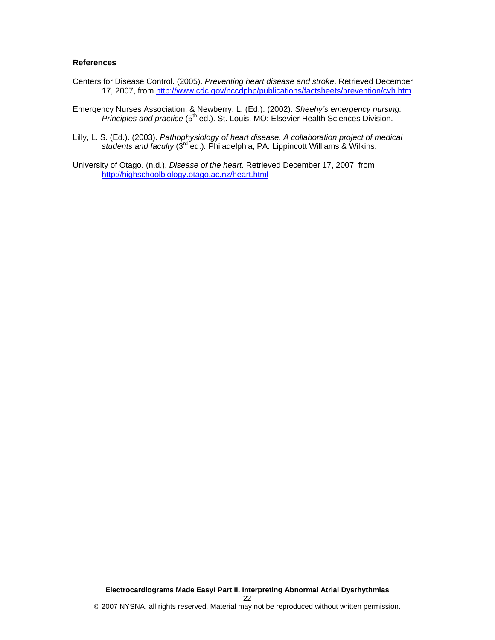## **References**

- Centers for Disease Control. (2005). *Preventing heart disease and stroke*. Retrieved December 17, 2007, from http://www.cdc.gov/nccdphp/publications/factsheets/prevention/cvh.htm
- Emergency Nurses Association, & Newberry, L. (Ed.). (2002). *Sheehy's emergency nursing: Principles and practice* (5<sup>th</sup> ed.). St. Louis, MO: Elsevier Health Sciences Division.
- Lilly, L. S. (Ed.). (2003). *Pathophysiology of heart disease. A collaboration project of medical*  students and faculty (3<sup>rd</sup> ed.). Philadelphia, PA: Lippincott Williams & Wilkins.

University of Otago. (n.d.). *Disease of the heart*. Retrieved December 17, 2007, from http://highschoolbiology.otago.ac.nz/heart.html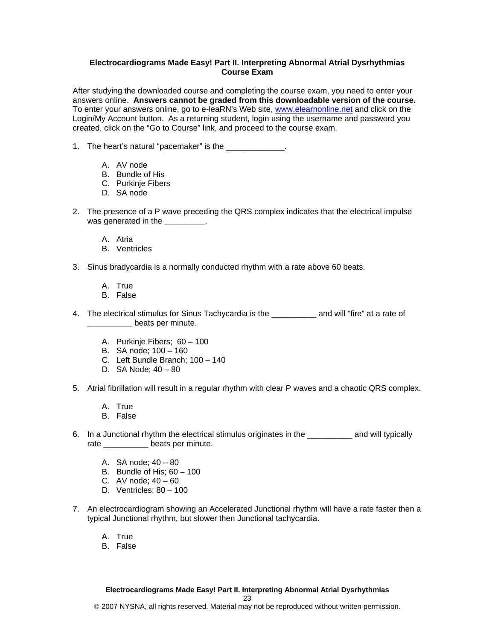## **Electrocardiograms Made Easy! Part II. Interpreting Abnormal Atrial Dysrhythmias Course Exam**

After studying the downloaded course and completing the course exam, you need to enter your answers online. **Answers cannot be graded from this downloadable version of the course.** To enter your answers online, go to e-leaRN's Web site, www.elearnonline.net and click on the Login/My Account button. As a returning student, login using the username and password you created, click on the "Go to Course" link, and proceed to the course exam.

- 1. The heart's natural "pacemaker" is the \_\_\_\_\_\_\_\_\_\_\_\_\_.
	- A. AV node
	- B. Bundle of His
	- C. Purkinje Fibers
	- D. SA node
- 2. The presence of a P wave preceding the QRS complex indicates that the electrical impulse was generated in the \_\_\_\_\_\_\_\_\_.
	- A. Atria
	- B. Ventricles
- 3. Sinus bradycardia is a normally conducted rhythm with a rate above 60 beats.
	- A. True
	- B. False
- 4. The electrical stimulus for Sinus Tachycardia is the **constant of the and will "fire"** at a rate of **\_\_\_\_\_\_\_\_\_** beats per minute.
	- A. Purkinje Fibers; 60 100
	- B. SA node; 100 160
	- C. Left Bundle Branch; 100 140
	- D. SA Node; 40 80
- 5. Atrial fibrillation will result in a regular rhythm with clear P waves and a chaotic QRS complex.
	- A. True
	- B. False
- 6. In a Junctional rhythm the electrical stimulus originates in the \_\_\_\_\_\_\_\_\_\_ and will typically rate \_\_\_\_\_\_\_\_\_\_\_\_ beats per minute.
	- A. SA node; 40 80
	- B. Bundle of His; 60 100
	- C. AV node;  $40 60$
	- D. Ventricles; 80 100
- 7. An electrocardiogram showing an Accelerated Junctional rhythm will have a rate faster then a typical Junctional rhythm, but slower then Junctional tachycardia.
	- A. True
	- B. False

### **Electrocardiograms Made Easy! Part II. Interpreting Abnormal Atrial Dysrhythmias**